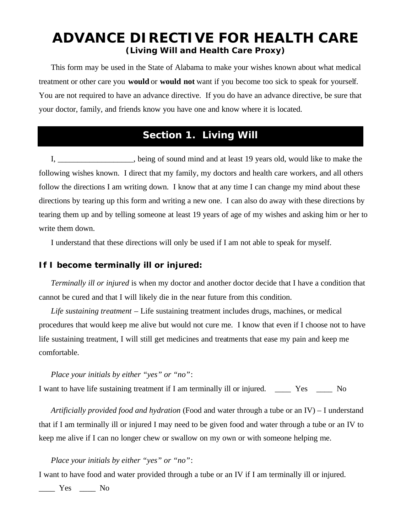# **ADVANCE DIRECTIVE FOR HEALTH CARE (Living Will and Health Care Proxy)**

This form may be used in the State of Alabama to make your wishes known about what medical treatment or other care you **would** or **would not** want if you become too sick to speak for yourself. You are not required to have an advance directive. If you do have an advance directive, be sure that your doctor, family, and friends know you have one and know where it is located.

# **Section 1. Living Will**

I, \_\_\_\_\_\_\_\_\_\_\_\_\_\_\_\_\_\_\_, being of sound mind and at least 19 years old, would like to make the following wishes known. I direct that my family, my doctors and health care workers, and all others follow the directions I am writing down. I know that at any time I can change my mind about these directions by tearing up this form and writing a new one. I can also do away with these directions by tearing them up and by telling someone at least 19 years of age of my wishes and asking him or her to write them down.

I understand that these directions will only be used if I am not able to speak for myself.

### **If I become terminally ill or injured:**

*Terminally ill or injured* is when my doctor and another doctor decide that I have a condition that cannot be cured and that I will likely die in the near future from this condition.

*Life sustaining treatment* – Life sustaining treatment includes drugs, machines, or medical procedures that would keep me alive but would not cure me. I know that even if I choose not to have life sustaining treatment, I will still get medicines and treatments that ease my pain and keep me comfortable.

*Place your initials by either "yes" or "no"*:

I want to have life sustaining treatment if I am terminally ill or injured. \_\_\_\_ Yes \_\_\_\_ No

*Artificially provided food and hydration* (Food and water through a tube or an IV) – I understand that if I am terminally ill or injured I may need to be given food and water through a tube or an IV to keep me alive if I can no longer chew or swallow on my own or with someone helping me.

*Place your initials by either "yes" or "no"*:

I want to have food and water provided through a tube or an IV if I am terminally ill or injured.

 $\frac{1}{\sqrt{1-\frac{1}{c}}}$  Yes  $\frac{1}{\sqrt{1-\frac{1}{c}}}$  No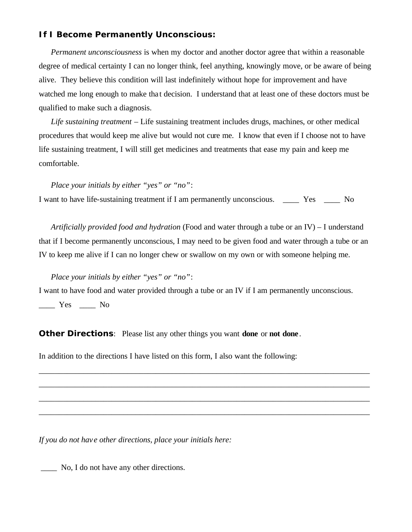### **If I Become Permanently Unconscious:**

*Permanent unconsciousness* is when my doctor and another doctor agree that within a reasonable degree of medical certainty I can no longer think, feel anything, knowingly move, or be aware of being alive. They believe this condition will last indefinitely without hope for improvement and have watched me long enough to make that decision. I understand that at least one of these doctors must be qualified to make such a diagnosis.

*Life sustaining treatment* – Life sustaining treatment includes drugs, machines, or other medical procedures that would keep me alive but would not cure me. I know that even if I choose not to have life sustaining treatment, I will still get medicines and treatments that ease my pain and keep me comfortable.

*Place your initials by either "yes" or "no"*:

I want to have life-sustaining treatment if I am permanently unconscious. \_\_\_\_\_ Yes \_\_\_\_ No

*Artificially provided food and hydration* (Food and water through a tube or an IV) – I understand that if I become permanently unconscious, I may need to be given food and water through a tube or an IV to keep me alive if I can no longer chew or swallow on my own or with someone helping me.

*Place your initials by either "yes" or "no"*:

I want to have food and water provided through a tube or an IV if I am permanently unconscious.

\_\_\_\_\_\_\_\_\_\_\_\_\_\_\_\_\_\_\_\_\_\_\_\_\_\_\_\_\_\_\_\_\_\_\_\_\_\_\_\_\_\_\_\_\_\_\_\_\_\_\_\_\_\_\_\_\_\_\_\_\_\_\_\_\_\_\_\_\_\_\_\_\_\_\_\_\_\_\_\_\_\_

\_\_\_\_\_\_\_\_\_\_\_\_\_\_\_\_\_\_\_\_\_\_\_\_\_\_\_\_\_\_\_\_\_\_\_\_\_\_\_\_\_\_\_\_\_\_\_\_\_\_\_\_\_\_\_\_\_\_\_\_\_\_\_\_\_\_\_\_\_\_\_\_\_\_\_\_\_\_\_\_\_\_

\_\_\_\_\_\_\_\_\_\_\_\_\_\_\_\_\_\_\_\_\_\_\_\_\_\_\_\_\_\_\_\_\_\_\_\_\_\_\_\_\_\_\_\_\_\_\_\_\_\_\_\_\_\_\_\_\_\_\_\_\_\_\_\_\_\_\_\_\_\_\_\_\_\_\_\_\_\_\_\_\_\_

\_\_\_\_\_\_\_\_\_\_\_\_\_\_\_\_\_\_\_\_\_\_\_\_\_\_\_\_\_\_\_\_\_\_\_\_\_\_\_\_\_\_\_\_\_\_\_\_\_\_\_\_\_\_\_\_\_\_\_\_\_\_\_\_\_\_\_\_\_\_\_\_\_\_\_\_\_\_\_\_\_\_

\_\_\_\_ Yes \_\_\_\_ No

**Other Directions:** Please list any other things you want **done** or **not done**.

In addition to the directions I have listed on this form, I also want the following:

*If you do not hav e other directions, place your initials here:* 

No, I do not have any other directions.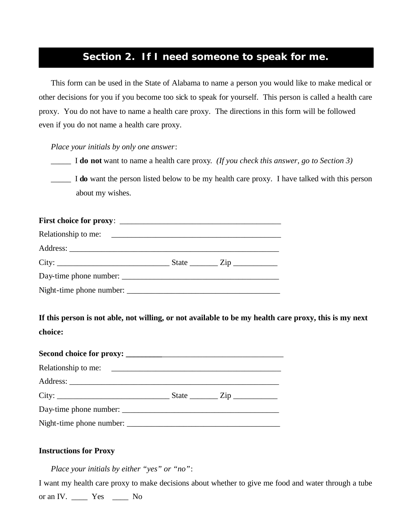### **Section 2. If I need someone to speak for me.**

This form can be used in the State of Alabama to name a person you would like to make medical or other decisions for you if you become too sick to speak for yourself. This person is called a health care proxy. You do not have to name a health care proxy. The directions in this form will be followed even if you do not name a health care proxy.

*Place your initials by only one answer*:

\_\_\_\_\_ I **do not** want to name a health care proxy*. (If you check this answer, go to Section 3)* 

\_\_\_\_\_ I **do** want the person listed below to be my health care proxy. I have talked with this person about my wishes.

| Relationship to me: |                            |
|---------------------|----------------------------|
|                     |                            |
| City:               | State $\frac{Zip}{\cdots}$ |
|                     |                            |
|                     |                            |

**If this person is not able, not willing, or not available to be my health care proxy, this is my next choice:** 

| Relationship to me: |  |  |
|---------------------|--|--|
|                     |  |  |
|                     |  |  |
|                     |  |  |
|                     |  |  |

#### **Instructions for Proxy**

*Place your initials by either "yes" or "no"*:

or an IV.  $\frac{1}{\sqrt{1 - \frac{1}{\sqrt{1}}}}$  Yes  $\frac{1}{\sqrt{1 - \frac{1}{\sqrt{1}}}}$  No I want my health care proxy to make decisions about whether to give me food and water through a tube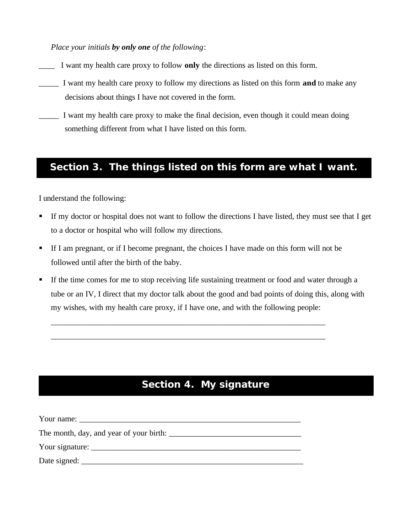*Place your initials by only one of the following*:

- I want my health care proxy to follow **only** the directions as listed on this form.
- \_\_\_\_\_ I want my health care proxy to follow my directions as listed on this form **and** to make any decisions about things I have not covered in the form.
- I want my health care proxy to make the final decision, even though it could mean doing something different from what I have listed on this form.

### **Section 3. The things listed on this form are what I want.**

I understand the following:

- � If my doctor or hospital does not want to follow the directions I have listed, they must see that I get to a doctor or hospital who will follow my directions.
- � If I am pregnant, or if I become pregnant, the choices I have made on this form will not be followed until after the birth of the baby.

\_\_\_\_\_\_\_\_\_\_\_\_\_\_\_\_\_\_\_\_\_\_\_\_\_\_\_\_\_\_\_\_\_\_\_\_\_\_\_\_\_\_\_\_\_\_\_\_\_\_\_\_\_\_\_\_\_\_\_\_\_\_\_\_\_\_\_\_

\_\_\_\_\_\_\_\_\_\_\_\_\_\_\_\_\_\_\_\_\_\_\_\_\_\_\_\_\_\_\_\_\_\_\_\_\_\_\_\_\_\_\_\_\_\_\_\_\_\_\_\_\_\_\_\_\_\_\_\_\_\_\_\_\_\_\_\_

**•** If the time comes for me to stop receiving life sustaining treatment or food and water through a tube or an IV, I direct that my doctor talk about the good and bad points of doing this, along with my wishes, with my health care proxy, if I have one, and with the following people:

# **Section 4. My signature**

| Your name:                              |
|-----------------------------------------|
| The month, day, and year of your birth: |
|                                         |
| Date signed: _____                      |